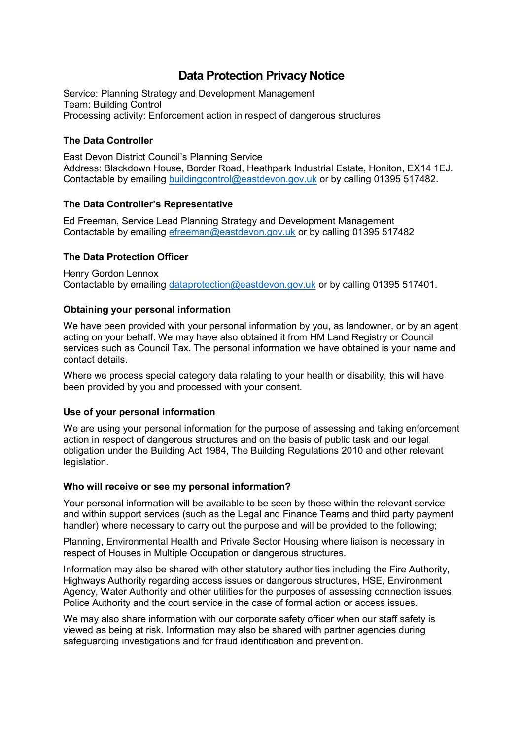# **Data Protection Privacy Notice**

Service: Planning Strategy and Development Management Team: Building Control Processing activity: Enforcement action in respect of dangerous structures

## **The Data Controller**

East Devon District Council's Planning Service Address: Blackdown House, Border Road, Heathpark Industrial Estate, Honiton, EX14 1EJ. Contactable by emailing [buildingcontrol@eastdevon.gov.uk](mailto:buildingcontrol@eastdevon.gov.uk) or by calling 01395 517482.

## **The Data Controller's Representative**

Ed Freeman, Service Lead Planning Strategy and Development Management Contactable by emailing [efreeman@eastdevon.gov.uk](mailto:efreeman@eastdevon.gov.uk) or by calling 01395 517482

## **The Data Protection Officer**

Henry Gordon Lennox Contactable by emailing [dataprotection@eastdevon.gov.uk](mailto:dataprotection@eastdevon.gov.uk) or by calling 01395 517401.

## **Obtaining your personal information**

We have been provided with your personal information by you, as landowner, or by an agent acting on your behalf. We may have also obtained it from HM Land Registry or Council services such as Council Tax. The personal information we have obtained is your name and contact details.

Where we process special category data relating to your health or disability, this will have been provided by you and processed with your consent.

#### **Use of your personal information**

We are using your personal information for the purpose of assessing and taking enforcement action in respect of dangerous structures and on the basis of public task and our legal obligation under the Building Act 1984, The Building Regulations 2010 and other relevant legislation.

#### **Who will receive or see my personal information?**

Your personal information will be available to be seen by those within the relevant service and within support services (such as the Legal and Finance Teams and third party payment handler) where necessary to carry out the purpose and will be provided to the following;

Planning, Environmental Health and Private Sector Housing where liaison is necessary in respect of Houses in Multiple Occupation or dangerous structures.

Information may also be shared with other statutory authorities including the Fire Authority, Highways Authority regarding access issues or dangerous structures, HSE, Environment Agency, Water Authority and other utilities for the purposes of assessing connection issues, Police Authority and the court service in the case of formal action or access issues.

We may also share information with our corporate safety officer when our staff safety is viewed as being at risk. Information may also be shared with partner agencies during safeguarding investigations and for fraud identification and prevention.